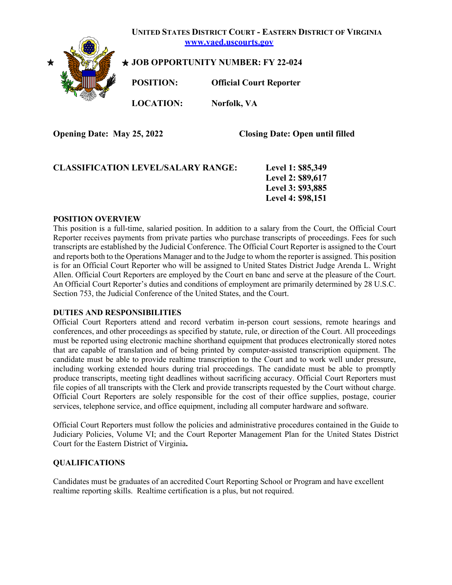

**Opening Date: May 25, 2022 Closing Date: Open until filled** 

| <b>CLASSIFICATION LEVEL/SALARY RANGE:</b> | Level 1: \$85,349 |
|-------------------------------------------|-------------------|
|                                           | Level 2: \$89,617 |
|                                           | Level 3: \$93,885 |
|                                           | Level 4: \$98,151 |

### **POSITION OVERVIEW**

This position is a full-time, salaried position. In addition to a salary from the Court, the Official Court Reporter receives payments from private parties who purchase transcripts of proceedings. Fees for such transcripts are established by the Judicial Conference. The Official Court Reporter is assigned to the Court and reports both to the Operations Manager and to the Judge to whom the reporter is assigned. This position is for an Official Court Reporter who will be assigned to United States District Judge Arenda L. Wright Allen. Official Court Reporters are employed by the Court en banc and serve at the pleasure of the Court. An Official Court Reporter's duties and conditions of employment are primarily determined by 28 U.S.C. Section 753, the Judicial Conference of the United States, and the Court.

### **DUTIES AND RESPONSIBILITIES**

Official Court Reporters attend and record verbatim in-person court sessions, remote hearings and conferences, and other proceedings as specified by statute, rule, or direction of the Court. All proceedings must be reported using electronic machine shorthand equipment that produces electronically stored notes that are capable of translation and of being printed by computer-assisted transcription equipment. The candidate must be able to provide realtime transcription to the Court and to work well under pressure, including working extended hours during trial proceedings. The candidate must be able to promptly produce transcripts, meeting tight deadlines without sacrificing accuracy. Official Court Reporters must file copies of all transcripts with the Clerk and provide transcripts requested by the Court without charge. Official Court Reporters are solely responsible for the cost of their office supplies, postage, courier services, telephone service, and office equipment, including all computer hardware and software.

Official Court Reporters must follow the policies and administrative procedures contained in the Guide to Judiciary Policies, Volume VI; and the Court Reporter Management Plan for the United States District Court for the Eastern District of Virginia**.**

### **QUALIFICATIONS**

Candidates must be graduates of an accredited Court Reporting School or Program and have excellent realtime reporting skills. Realtime certification is a plus, but not required.